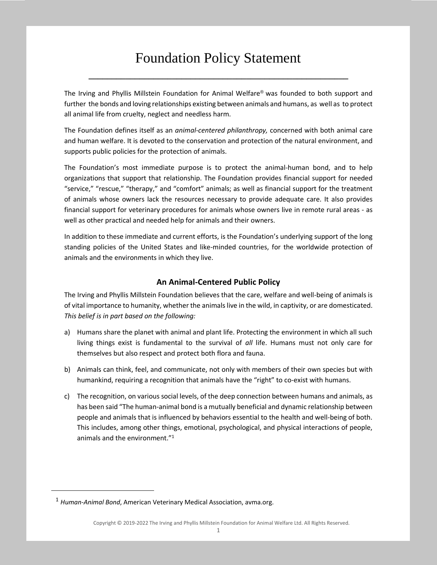# Foundation Policy Statement

**\_\_\_\_\_\_\_\_\_\_\_\_\_\_\_\_\_\_\_\_\_\_\_\_\_\_\_\_\_\_\_\_\_\_\_\_\_\_\_\_\_\_\_\_\_\_\_\_\_\_\_\_\_\_\_\_**

The Irving and Phyllis Millstein Foundation for Animal Welfare® was founded to both support and further the bonds and loving relationships existing between animals and humans, as well as to protect all animal life from cruelty, neglect and needless harm.

The Foundation defines itself as an *animal-centered philanthropy,* concerned with both animal care and human welfare. It is devoted to the conservation and protection of the natural environment, and supports public policies for the protection of animals.

The Foundation's most immediate purpose is to protect the animal-human bond, and to help organizations that support that relationship. The Foundation provides financial support for needed "service," "rescue," "therapy," and "comfort" animals; as well as financial support for the treatment of animals whose owners lack the resources necessary to provide adequate care. It also provides financial support for veterinary procedures for animals whose owners live in remote rural areas - as well as other practical and needed help for animals and their owners.

In addition to these immediate and current efforts, is the Foundation's underlying support of the long standing policies of the United States and like-minded countries, for the worldwide protection of animals and the environments in which they live.

## **An Animal-Centered Public Policy**

The Irving and Phyllis Millstein Foundation believes that the care, welfare and well-being of animals is of vital importance to humanity, whether the animals live in the wild, in captivity, or are domesticated. *This belief is in part based on the following:*

- a) Humans share the planet with animal and plant life. Protecting the environment in which all such living things exist is fundamental to the survival of *all* life. Humans must not only care for themselves but also respect and protect both flora and fauna.
- b) Animals can think, feel, and communicate, not only with members of their own species but with humankind, requiring a recognition that animals have the "right" to co-exist with humans.
- c) The recognition, on various social levels, of the deep connection between humans and animals, as has been said "The human-animal bond is a mutually beneficial and dynamic relationship between people and animals that is influenced by behaviors essential to the health and well-being of both. This includes, among other things, emotional, psychological, and physical interactions of people, animals and the environment."<sup>1</sup>

l

<sup>1</sup> *Human‐Animal Bond*, American Veterinary Medical Association, avma.org.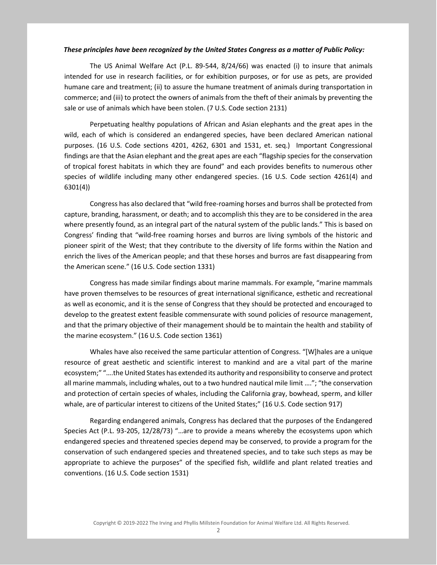#### *These principles have been recognized by the United States Congress as a matter of Public Policy:*

The US Animal Welfare Act (P.L. 89-544, 8/24/66) was enacted (i) to insure that animals intended for use in research facilities, or for exhibition purposes, or for use as pets, are provided humane care and treatment; (ii) to assure the humane treatment of animals during transportation in commerce; and (iii) to protect the owners of animals from the theft of their animals by preventing the sale or use of animals which have been stolen. (7 U.S. Code section 2131)

Perpetuating healthy populations of African and Asian elephants and the great apes in the wild, each of which is considered an endangered species, have been declared American national purposes. (16 U.S. Code sections 4201, 4262, 6301 and 1531, et. seq.) Important Congressional findings are that the Asian elephant and the great apes are each "flagship species for the conservation of tropical forest habitats in which they are found" and each provides benefits to numerous other species of wildlife including many other endangered species. (16 U.S. Code section 4261(4) and 6301(4))

Congress has also declared that "wild free-roaming horses and burros shall be protected from capture, branding, harassment, or death; and to accomplish this they are to be considered in the area where presently found, as an integral part of the natural system of the public lands." This is based on Congress' finding that "wild-free roaming horses and burros are living symbols of the historic and pioneer spirit of the West; that they contribute to the diversity of life forms within the Nation and enrich the lives of the American people; and that these horses and burros are fast disappearing from the American scene." (16 U.S. Code section 1331)

Congress has made similar findings about marine mammals. For example, "marine mammals have proven themselves to be resources of great international significance, esthetic and recreational as well as economic, and it is the sense of Congress that they should be protected and encouraged to develop to the greatest extent feasible commensurate with sound policies of resource management, and that the primary objective of their management should be to maintain the health and stability of the marine ecosystem." (16 U.S. Code section 1361)

Whales have also received the same particular attention of Congress. "[W]hales are a unique resource of great aesthetic and scientific interest to mankind and are a vital part of the marine ecosystem;" "….the United States has extended its authority and responsibility to conserve and protect all marine mammals, including whales, out to a two hundred nautical mile limit …."; "the conservation and protection of certain species of whales, including the California gray, bowhead, sperm, and killer whale, are of particular interest to citizens of the United States;" (16 U.S. Code section 917)

Regarding endangered animals, Congress has declared that the purposes of the Endangered Species Act (P.L. 93-205, 12/28/73) "…are to provide a means whereby the ecosystems upon which endangered species and threatened species depend may be conserved, to provide a program for the conservation of such endangered species and threatened species, and to take such steps as may be appropriate to achieve the purposes" of the specified fish, wildlife and plant related treaties and conventions. (16 U.S. Code section 1531)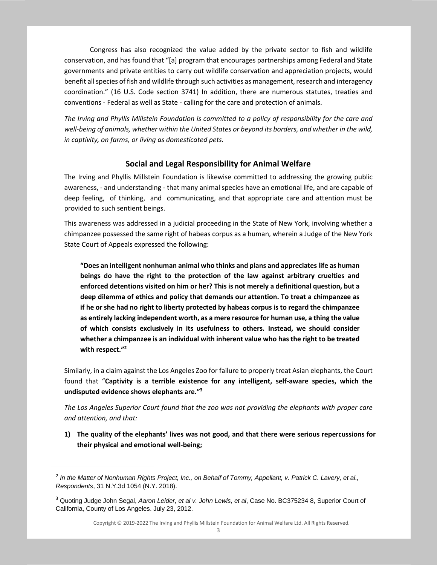Congress has also recognized the value added by the private sector to fish and wildlife conservation, and has found that "[a] program that encourages partnerships among Federal and State governments and private entities to carry out wildlife conservation and appreciation projects, would benefit all species of fish and wildlife through such activities as management, research and interagency coordination." (16 U.S. Code section 3741) In addition, there are numerous statutes, treaties and conventions - Federal as well as State - calling for the care and protection of animals.

*The Irving and Phyllis Millstein Foundation is committed to a policy of responsibility for the care and well-being of animals, whether within the United States or beyond its borders, and whether in the wild, in captivity, on farms, or living as domesticated pets.*

#### **Social and Legal Responsibility for Animal Welfare**

The Irving and Phyllis Millstein Foundation is likewise committed to addressing the growing public awareness, - and understanding - that many animal species have an emotional life, and are capable of deep feeling, of thinking, and communicating, and that appropriate care and attention must be provided to such sentient beings.

This awareness was addressed in a judicial proceeding in the State of New York, involving whether a chimpanzee possessed the same right of habeas corpus as a human, wherein a Judge of the New York State Court of Appeals expressed the following:

**"Does an intelligent nonhuman animal who thinks and plans and appreciates life as human beings do have the right to the protection of the law against arbitrary cruelties and enforced detentions visited on him or her? This is not merely a definitional question, but a deep dilemma of ethics and policy that demands our attention. To treat a chimpanzee as if he or she had no right to liberty protected by habeas corpus is to regard the chimpanzee as entirely lacking independent worth, as a mere resource for human use, a thing the value of which consists exclusively in its usefulness to others. Instead, we should consider whether a chimpanzee is an individual with inherent value who has the right to be treated with respect."<sup>2</sup>**

Similarly, in a claim against the Los Angeles Zoo for failure to properly treat Asian elephants, the Court found that "**Captivity is a terrible existence for any intelligent, self-aware species, which the undisputed evidence shows elephants are."<sup>3</sup>**

*The Los Angeles Superior Court found that the zoo was not providing the elephants with proper care and attention, and that:*

**1) The quality of the elephants' lives was not good, and that there were serious repercussions for their physical and emotional well-being;**

 $\overline{a}$ 

Copyright © 2019-2022 The Irving and Phyllis Millstein Foundation for Animal Welfare Ltd. All Rights Reserved.

<sup>2</sup> *In the Matter of Nonhuman Rights Project, Inc., on Behalf of Tommy, Appellant, v. Patrick C. Lavery, et al., Respondents*, 31 N.Y.3d 1054 (N.Y. 2018).

<sup>3</sup> Quoting Judge John Segal, *Aaron Leider, et al v. John Lewis, et al*, Case No. BC375234 8, Superior Court of California, County of Los Angeles. July 23, 2012.